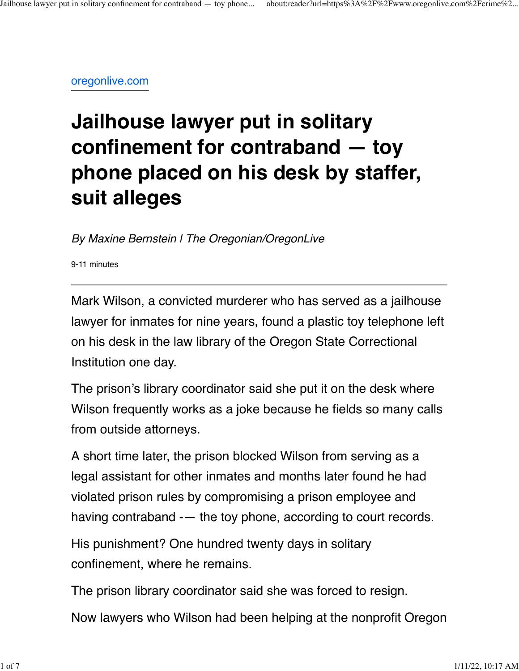[oregonlive.com](https://www.oregonlive.com/crime/2021/11/jailhouse-lawyer-put-in-solitary-confinement-for-contraband-toy-phone-placed-on-his-law-library-desk-by-staffer-suit-alleges.html)

## **Jailhouse lawyer put in solitary confinement for contraband — toy phone placed on his desk by staffer, suit alleges**

*By Maxine Bernstein | The Oregonian/OregonLive*

9-11 minutes

Mark Wilson, a convicted murderer who has served as a jailhouse lawyer for inmates for nine years, found a plastic toy telephone left on his desk in the law library of the Oregon State Correctional Institution one day.

The prison's library coordinator said she put it on the desk where Wilson frequently works as a joke because he fields so many calls from outside attorneys.

A short time later, the prison blocked Wilson from serving as a legal assistant for other inmates and months later found he had violated prison rules by compromising a prison employee and having contraband -— the toy phone, according to court records.

His punishment? One hundred twenty days in solitary confinement, where he remains.

The prison library coordinator said she was forced to resign.

Now lawyers who Wilson had been helping at the nonprofit Oregon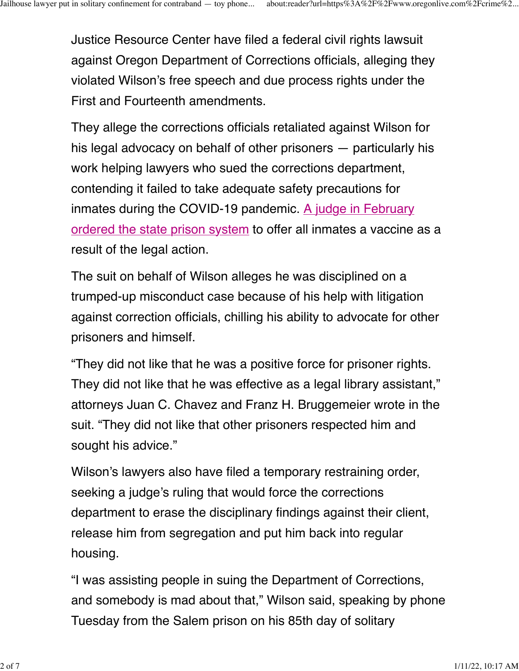Justice Resource Center have filed a federal civil rights lawsuit against Oregon Department of Corrections officials, alleging they violated Wilson's free speech and due process rights under the First and Fourteenth amendments.

They allege the corrections officials retaliated against Wilson for his legal advocacy on behalf of other prisoners — particularly his work helping lawyers who sued the corrections department, contending it failed to take adequate safety precautions for inmates during the COVID-19 pandemic. [A judge in February](https://www.oregonlive.com/coronavirus/2021/02/coronavirus-in-oregon-judge-orders-inmates-be-prioritized-for-covid-19-vaccines-23-new-deaths-reported-statewide.html) [ordered the state prison system](https://www.oregonlive.com/coronavirus/2021/02/coronavirus-in-oregon-judge-orders-inmates-be-prioritized-for-covid-19-vaccines-23-new-deaths-reported-statewide.html) to offer all inmates a vaccine as a result of the legal action.

The suit on behalf of Wilson alleges he was disciplined on a trumped-up misconduct case because of his help with litigation against correction officials, chilling his ability to advocate for other prisoners and himself.

"They did not like that he was a positive force for prisoner rights. They did not like that he was effective as a legal library assistant," attorneys Juan C. Chavez and Franz H. Bruggemeier wrote in the suit. "They did not like that other prisoners respected him and sought his advice."

Wilson's lawyers also have filed a temporary restraining order, seeking a judge's ruling that would force the corrections department to erase the disciplinary findings against their client, release him from segregation and put him back into regular housing.

"I was assisting people in suing the Department of Corrections, and somebody is mad about that," Wilson said, speaking by phone Tuesday from the Salem prison on his 85th day of solitary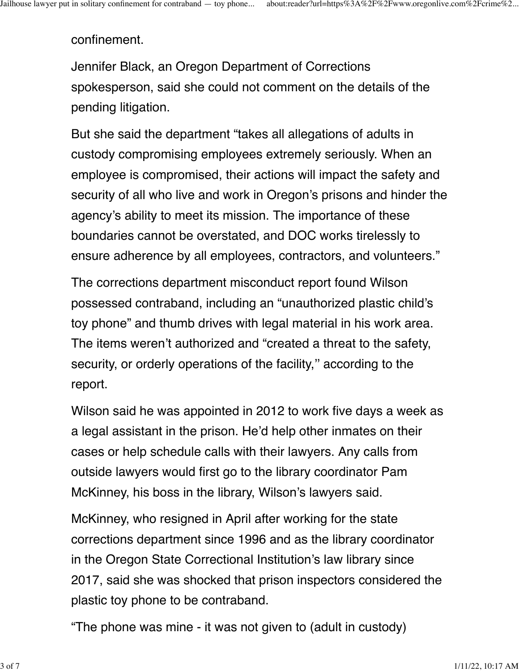confinement.

Jennifer Black, an Oregon Department of Corrections spokesperson, said she could not comment on the details of the pending litigation.

But she said the department "takes all allegations of adults in custody compromising employees extremely seriously. When an employee is compromised, their actions will impact the safety and security of all who live and work in Oregon's prisons and hinder the agency's ability to meet its mission. The importance of these boundaries cannot be overstated, and DOC works tirelessly to ensure adherence by all employees, contractors, and volunteers."

The corrections department misconduct report found Wilson possessed contraband, including an "unauthorized plastic child's toy phone" and thumb drives with legal material in his work area. The items weren't authorized and "created a threat to the safety, security, or orderly operations of the facility," according to the report.

Wilson said he was appointed in 2012 to work five days a week as a legal assistant in the prison. He'd help other inmates on their cases or help schedule calls with their lawyers. Any calls from outside lawyers would first go to the library coordinator Pam McKinney, his boss in the library, Wilson's lawyers said.

McKinney, who resigned in April after working for the state corrections department since 1996 and as the library coordinator in the Oregon State Correctional Institution's law library since 2017, said she was shocked that prison inspectors considered the plastic toy phone to be contraband.

"The phone was mine - it was not given to (adult in custody)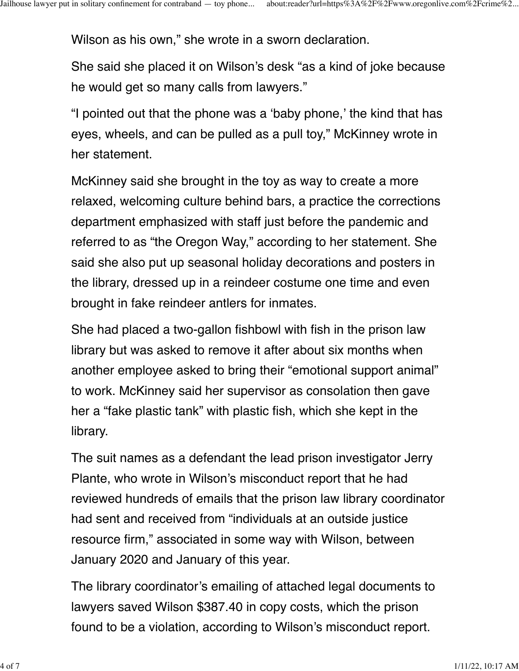Wilson as his own," she wrote in a sworn declaration.

She said she placed it on Wilson's desk "as a kind of joke because he would get so many calls from lawyers."

"I pointed out that the phone was a 'baby phone,' the kind that has eyes, wheels, and can be pulled as a pull toy," McKinney wrote in her statement.

McKinney said she brought in the toy as way to create a more relaxed, welcoming culture behind bars, a practice the corrections department emphasized with staff just before the pandemic and referred to as "the Oregon Way," according to her statement. She said she also put up seasonal holiday decorations and posters in the library, dressed up in a reindeer costume one time and even brought in fake reindeer antlers for inmates.

She had placed a two-gallon fishbowl with fish in the prison law library but was asked to remove it after about six months when another employee asked to bring their "emotional support animal" to work. McKinney said her supervisor as consolation then gave her a "fake plastic tank" with plastic fish, which she kept in the library.

The suit names as a defendant the lead prison investigator Jerry Plante, who wrote in Wilson's misconduct report that he had reviewed hundreds of emails that the prison law library coordinator had sent and received from "individuals at an outside justice resource firm," associated in some way with Wilson, between January 2020 and January of this year.

The library coordinator's emailing of attached legal documents to lawyers saved Wilson \$387.40 in copy costs, which the prison found to be a violation, according to Wilson's misconduct report.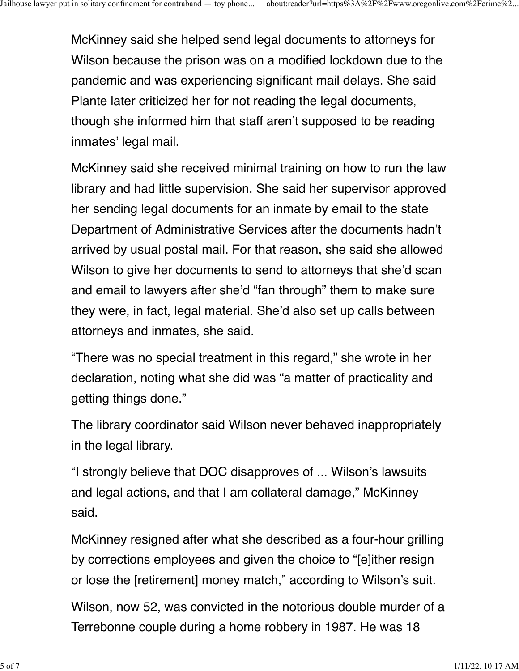McKinney said she helped send legal documents to attorneys for Wilson because the prison was on a modified lockdown due to the pandemic and was experiencing significant mail delays. She said Plante later criticized her for not reading the legal documents, though she informed him that staff aren't supposed to be reading inmates' legal mail.

McKinney said she received minimal training on how to run the law library and had little supervision. She said her supervisor approved her sending legal documents for an inmate by email to the state Department of Administrative Services after the documents hadn't arrived by usual postal mail. For that reason, she said she allowed Wilson to give her documents to send to attorneys that she'd scan and email to lawyers after she'd "fan through" them to make sure they were, in fact, legal material. She'd also set up calls between attorneys and inmates, she said.

"There was no special treatment in this regard," she wrote in her declaration, noting what she did was "a matter of practicality and getting things done."

The library coordinator said Wilson never behaved inappropriately in the legal library.

"I strongly believe that DOC disapproves of ... Wilson's lawsuits and legal actions, and that I am collateral damage," McKinney said.

McKinney resigned after what she described as a four-hour grilling by corrections employees and given the choice to "[e]ither resign or lose the [retirement] money match," according to Wilson's suit.

Wilson, now 52, was convicted in the notorious double murder of a Terrebonne couple during a home robbery in 1987. He was 18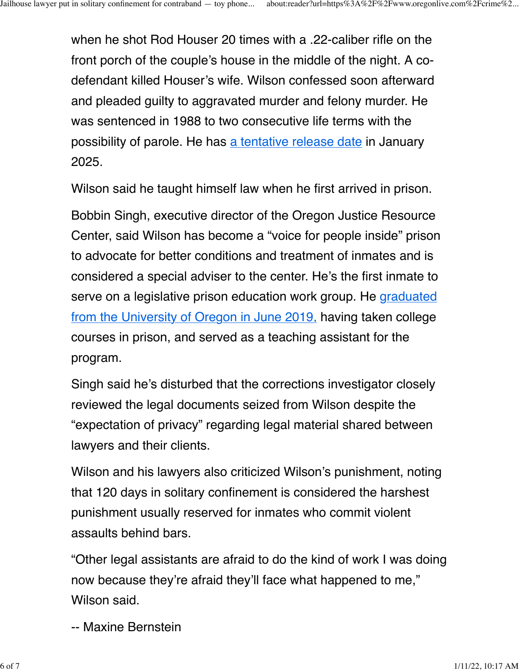when he shot Rod Houser 20 times with a .22-caliber rifle on the front porch of the couple's house in the middle of the night. A codefendant killed Houser's wife. Wilson confessed soon afterward and pleaded guilty to aggravated murder and felony murder. He was sentenced in 1988 to two consecutive life terms with the possibility of parole. He has [a tentative release date](https://www.oregonlive.com/crime/2020/05/man-convicted-in-notorious-central-oregon-killings-wanted-immediate-release-parole-board-says-7-more-years.html) in January 2025.

Wilson said he taught himself law when he first arrived in prison.

Bobbin Singh, executive director of the Oregon Justice Resource Center, said Wilson has become a "voice for people inside" prison to advocate for better conditions and treatment of inmates and is considered a special adviser to the center. He's the first inmate to serve on a legislative prison education work group. He [graduated](https://www.oregonlive.com/crime/2019/11/deschutes-county-da-stuns-victims-family-when-he-tells-parole-board-convicted-killer-mark-wilson-can-be-rehabilitated.html) [from the University of Oregon in June 2019,](https://www.oregonlive.com/crime/2019/11/deschutes-county-da-stuns-victims-family-when-he-tells-parole-board-convicted-killer-mark-wilson-can-be-rehabilitated.html) having taken college courses in prison, and served as a teaching assistant for the program.

Singh said he's disturbed that the corrections investigator closely reviewed the legal documents seized from Wilson despite the "expectation of privacy" regarding legal material shared between lawyers and their clients.

Wilson and his lawyers also criticized Wilson's punishment, noting that 120 days in solitary confinement is considered the harshest punishment usually reserved for inmates who commit violent assaults behind bars.

"Other legal assistants are afraid to do the kind of work I was doing now because they're afraid they'll face what happened to me," Wilson said.

-- Maxine Bernstein